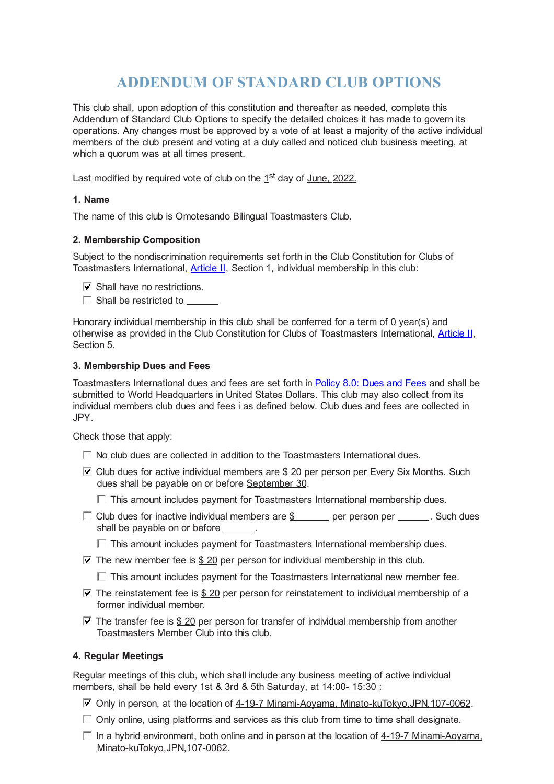# **ADDENDUM OF STANDARD CLUB OPTIONS**

This club shall, upon adoption of this constitution and thereafter as needed, complete this Addendum of Standard Club Options to specify the detailed choices it has made to govern its operations. Any changes must be approved by a vote of at least a majority of the active individual members of the club present and voting at a duly called and noticed club business meeting, at which a quorum was at all times present.

Last modified by required vote of club on the 1<sup>st</sup> day of June, 2022.

## **1. Name**

The name of this club is Omotesando Bilingual Toastmasters Club.

# **2. Membership Composition**

Subject to the nondiscrimination requirements set forth in the Club Constitution for Clubs of Toastmasters International, Article II, Section 1, individual membership in this club:

- $\nabla$  Shall have no restrictions.
- $\Box$  Shall be restricted to  $\Box$

Honorary individual membership in this club shall be conferred for a term of 0 year(s) and otherwise as provided in the Club Constitution for Clubs of Toastmasters International, Article II, Section 5.

## **3. Membership Dues and Fees**

Toastmasters International dues and fees are set forth in [Policy](https://www.toastmasters.org/leadership-central/governing-documents#Policy80DuesandFees468) 8.0: Dues and Fees and shall be submitted to World Headquarters in United States Dollars. This club may also collect from its individual members club dues and fees i as defined below. Club dues and fees are collected in JPY.

Check those that apply:

- $\Box$  No club dues are collected in addition to the Toastmasters International dues.
- $\Box$  Club dues for active individual members are \$ 20 per person per Every Six Months. Such dues shall be payable on or before September 30.

 $\Box$  This amount includes payment for Toastmasters International membership dues.

- $\Box$  Club dues for inactive individual members are \$ per person per  $\Box$ . Such dues shall be payable on or before  $\qquad \qquad$ .
	- $\Box$  This amount includes payment for Toastmasters International membership dues.
- $\overline{V}$  The new member fee is \$ 20 per person for individual membership in this club.
	- $\Box$  This amount includes payment for the Toastmasters International new member fee.
- $\overline{V}$  The reinstatement fee is \$ 20 per person for reinstatement to individual membership of a former individual member.
- $\overline{V}$  The transfer fee is \$ 20 per person for transfer of individual membership from another Toastmasters Member Club into this club.

#### **4. Regular Meetings**

Regular meetings of this club, which shall include any business meeting of active individual members, shall be held every 1st & 3rd & 5th Saturday, at 14:00-15:30 :

- $\triangledown$  Only in person, at the location of 4-19-7 Minami-Aoyama, Minato-kuTokyo, JPN, 107-0062.
- $\Box$  Only online, using platforms and services as this club from time to time shall designate.
- $\Box$  In a hybrid environment, both online and in person at the location of  $4-19-7$  Minami-Aoyama, Minato-kuTokyo,JPN,107-0062.